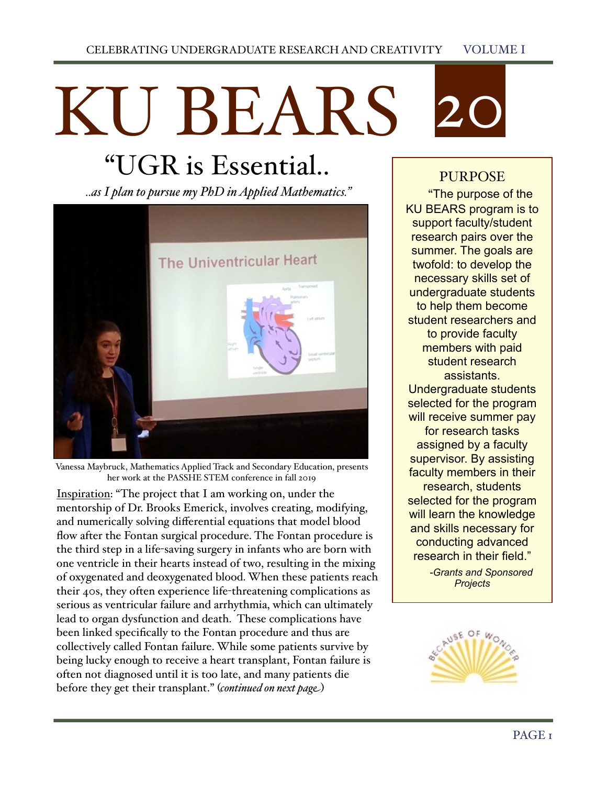# KU BEARS 20

# "UGR is Essential..

*..as I plan to pursue my PhD in Applied Mathematics."*



Vanessa Maybruck, Mathematics Applied Track and Secondary Education, presents her work at the PASSHE STEM conference in fall 2019

Inspiration: "The project that I am working on, under the mentorship of Dr. Brooks Emerick, involves creating, modifying, and numerically solving differential equations that model blood flow after the Fontan surgical procedure. The Fontan procedure is the third step in a life-saving surgery in infants who are born with one ventricle in their hearts instead of two, resulting in the mixing of oxygenated and deoxygenated blood. When these patients reach their 40s, they often experience life-threatening complications as serious as ventricular failure and arrhythmia, which can ultimately lead to organ dysfunction and death. These complications have been linked specifically to the Fontan procedure and thus are collectively called Fontan failure. While some patients survive by being lucky enough to receive a heart transplant, Fontan failure is often not diagnosed until it is too late, and many patients die before they get their transplant." (*continued on next page*)

## PURPOSE

"The purpose of the KU BEARS program is to support faculty/student research pairs over the summer. The goals are twofold: to develop the necessary skills set of undergraduate students to help them become student researchers and to provide faculty members with paid student research assistants. Undergraduate students selected for the program will receive summer pay for research tasks assigned by a faculty supervisor. By assisting faculty members in their research, students selected for the program will learn the knowledge and skills necessary for conducting advanced research in their field."

> *-Grants and Sponsored Projects*